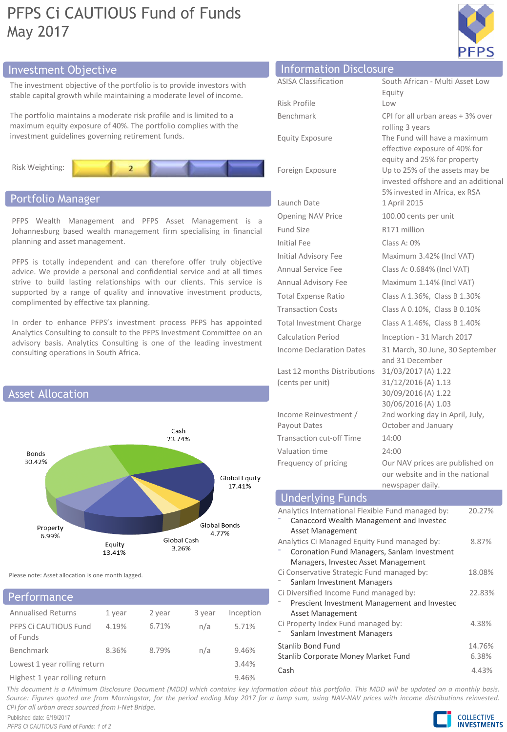# PFPS Ci CAUTIOUS Fund of Funds May 2017



# Investment Objective Information Disclosure

The investment objective of the portfolio is to provide investors with stable capital growth while maintaining a moderate level of income.

The portfolio maintains a moderate risk profile and is limited to a maximum equity exposure of 40%. The portfolio complies with the investment guidelines governing retirement funds.



# Portfolio Manager

PFPS Wealth Management and PFPS Asset Management is a Johannesburg based wealth management firm specialising in financial planning and asset management.

PFPS is totally independent and can therefore offer truly objective advice. We provide a personal and confidential service and at all times strive to build lasting relationships with our clients. This service is supported by a range of quality and innovative investment products, complimented by effective tax planning.

In order to enhance PFPS's investment process PFPS has appointed Analytics Consulting to consult to the PFPS Investment Committee on an advisory basis. Analytics Consulting is one of the leading investment consulting operations in South Africa.



Please note: Asset allocation is one month lagged.

# Performance

| .                                 |        |        |        |           |
|-----------------------------------|--------|--------|--------|-----------|
| <b>Annualised Returns</b>         | 1 year | 2 year | 3 year | Inception |
| PFPS Ci CAUTIOUS Fund<br>of Funds | 4.19%  | 6.71%  | n/a    | 5.71%     |
| Benchmark                         | 8.36%  | 8.79%  | n/a    | 9.46%     |
| Lowest 1 year rolling return      |        |        |        | 3.44%     |
| Highest 1 year rolling return     |        |        |        | 9.46%     |

| <b>ASISA Classification</b>     | South African - Multi Asset Low                                       |
|---------------------------------|-----------------------------------------------------------------------|
|                                 | Equity                                                                |
| Risk Profile                    | Low                                                                   |
| Benchmark                       | CPI for all urban areas + 3% over                                     |
|                                 | rolling 3 years                                                       |
| <b>Equity Exposure</b>          | The Fund will have a maximum                                          |
|                                 | effective exposure of 40% for                                         |
|                                 | equity and 25% for property                                           |
| Foreign Exposure                | Up to 25% of the assets may be<br>invested offshore and an additional |
|                                 | 5% invested in Africa, ex RSA                                         |
| Launch Date                     | 1 April 2015                                                          |
| <b>Opening NAV Price</b>        | 100.00 cents per unit                                                 |
| Fund Size                       | R171 million                                                          |
| <b>Initial Fee</b>              | Class A: 0%                                                           |
| Initial Advisory Fee            | Maximum 3.42% (Incl VAT)                                              |
| Annual Service Fee              | Class A: 0.684% (Incl VAT)                                            |
| Annual Advisory Fee             | Maximum 1.14% (Incl VAT)                                              |
| <b>Total Expense Ratio</b>      | Class A 1.36%, Class B 1.30%                                          |
| <b>Transaction Costs</b>        | Class A 0.10%, Class B 0.10%                                          |
| <b>Total Investment Charge</b>  | Class A 1.46%, Class B 1.40%                                          |
| <b>Calculation Period</b>       | Inception - 31 March 2017                                             |
| <b>Income Declaration Dates</b> | 31 March, 30 June, 30 September                                       |
|                                 | and 31 December                                                       |
| Last 12 months Distributions    | 31/03/2017 (A) 1.22                                                   |
| (cents per unit)                | 31/12/2016 (A) 1.13                                                   |
|                                 | 30/09/2016 (A) 1.22                                                   |
|                                 | 30/06/2016 (A) 1.03                                                   |
| Income Reinvestment /           | 2nd working day in April, July,                                       |
| Payout Dates                    | October and January                                                   |

Transaction cut-off Time 14:00 Valuation time 24:00

Frequency of pricing **Our NAV** prices are published on our website and in the national newspaper daily.

# Underlying Funds

| Analytics International Flexible Fund managed by: | 20.27% |
|---------------------------------------------------|--------|
| Canaccord Wealth Management and Invested          |        |
| Asset Management                                  |        |
| Analytics Ci Managed Equity Fund managed by:      | 8.87%  |
| Coronation Fund Managers, Sanlam Investment       |        |
| Managers, Investec Asset Management               |        |
| Ci Conservative Strategic Fund managed by:        | 18.08% |
| Sanlam Investment Managers                        |        |
| Ci Diversified Income Fund managed by:            | 22.83% |
| Prescient Investment Management and Investec      |        |
| <b>Asset Management</b>                           |        |
| Ci Property Index Fund managed by:                | 4.38%  |
| Sanlam Investment Managers                        |        |
| Stanlib Bond Fund                                 | 14.76% |
| Stanlib Corporate Money Market Fund               | 6.38%  |
| Cash                                              | 4.43%  |

This document is a Minimum Disclosure Document (MDD) which contains key information about this portfolio. This MDD will be updated on a monthly basis. Source: Figures quoted are from Morningstar, for the period ending May 2017 for a lump sum, using NAV-NAV prices with income distributions reinvested. *CPI for all urban areas sourced from I-Net Bridge.*

Published date: 6/19/2017 *PFPS Ci CAUTIOUS Fund of Funds: 1 of 2*